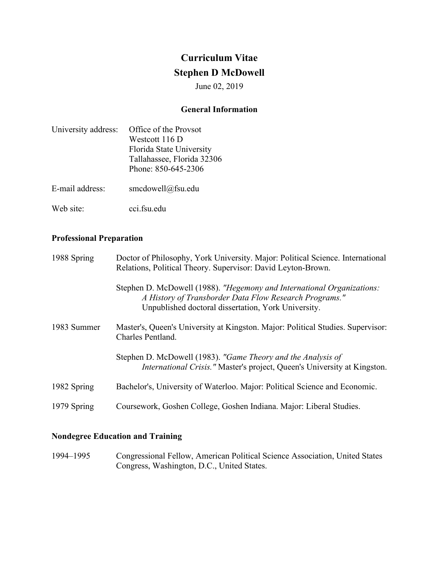# **Curriculum Vitae Stephen D McDowell**

June 02, 2019

## **General Information**

| University address: | Office of the Provsot      |
|---------------------|----------------------------|
|                     | Westcott 116 D             |
|                     | Florida State University   |
|                     | Tallahassee, Florida 32306 |
|                     | Phone: 850-645-2306        |
| E-mail address:     | smcdowell@fsu.edu          |
| Web site:           | cci.fsu.edu                |

# **Professional Preparation**

| 1988 Spring | Doctor of Philosophy, York University. Major: Political Science. International<br>Relations, Political Theory. Supervisor: David Leyton-Brown.                                          |
|-------------|-----------------------------------------------------------------------------------------------------------------------------------------------------------------------------------------|
|             | Stephen D. McDowell (1988). "Hegemony and International Organizations:<br>A History of Transborder Data Flow Research Programs."<br>Unpublished doctoral dissertation, York University. |
| 1983 Summer | Master's, Queen's University at Kingston. Major: Political Studies. Supervisor:<br>Charles Pentland.                                                                                    |
|             | Stephen D. McDowell (1983). "Game Theory and the Analysis of<br><i>International Crisis."</i> Master's project, Queen's University at Kingston.                                         |
| 1982 Spring | Bachelor's, University of Waterloo. Major: Political Science and Economic.                                                                                                              |
| 1979 Spring | Coursework, Goshen College, Goshen Indiana. Major: Liberal Studies.                                                                                                                     |

# **Nondegree Education and Training**

1994–1995 Congressional Fellow, American Political Science Association, United States Congress, Washington, D.C., United States.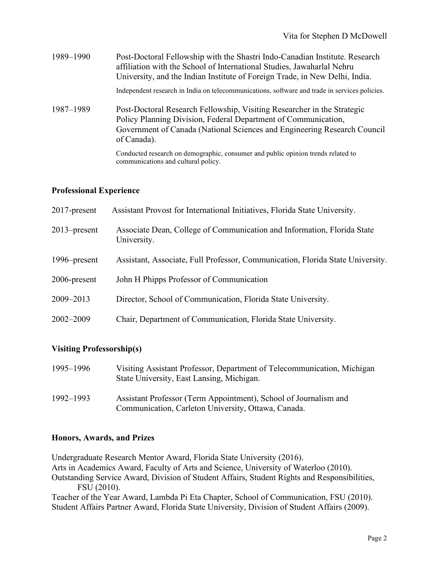| 1989-1990 | Post-Doctoral Fellowship with the Shastri Indo-Canadian Institute. Research<br>affiliation with the School of International Studies, Jawaharlal Nehru<br>University, and the Indian Institute of Foreign Trade, in New Delhi, India. |
|-----------|--------------------------------------------------------------------------------------------------------------------------------------------------------------------------------------------------------------------------------------|
|           | Independent research in India on telecommunications, software and trade in services policies.                                                                                                                                        |
| 1987–1989 | Post-Doctoral Research Fellowship, Visiting Researcher in the Strategic<br>Policy Planning Division, Federal Department of Communication,<br>Government of Canada (National Sciences and Engineering Research Council<br>of Canada). |
|           | Conducted research on demographic, consumer and public opinion trends related to<br>communications and cultural policy.                                                                                                              |

## **Professional Experience**

| $2017$ -present | Assistant Provost for International Initiatives, Florida State University.             |
|-----------------|----------------------------------------------------------------------------------------|
| $2013$ -present | Associate Dean, College of Communication and Information, Florida State<br>University. |
| 1996–present    | Assistant, Associate, Full Professor, Communication, Florida State University.         |
| 2006-present    | John H Phipps Professor of Communication                                               |
| 2009-2013       | Director, School of Communication, Florida State University.                           |
| 2002-2009       | Chair, Department of Communication, Florida State University.                          |

## **Visiting Professorship(s)**

| 1995–1996 | Visiting Assistant Professor, Department of Telecommunication, Michigan<br>State University, East Lansing, Michigan.    |
|-----------|-------------------------------------------------------------------------------------------------------------------------|
| 1992–1993 | Assistant Professor (Term Appointment), School of Journalism and<br>Communication, Carleton University, Ottawa, Canada. |

## **Honors, Awards, and Prizes**

Undergraduate Research Mentor Award, Florida State University (2016). Arts in Academics Award, Faculty of Arts and Science, University of Waterloo (2010). Outstanding Service Award, Division of Student Affairs, Student Rights and Responsibilities, FSU (2010). Teacher of the Year Award, Lambda Pi Eta Chapter, School of Communication, FSU (2010). Student Affairs Partner Award, Florida State University, Division of Student Affairs (2009).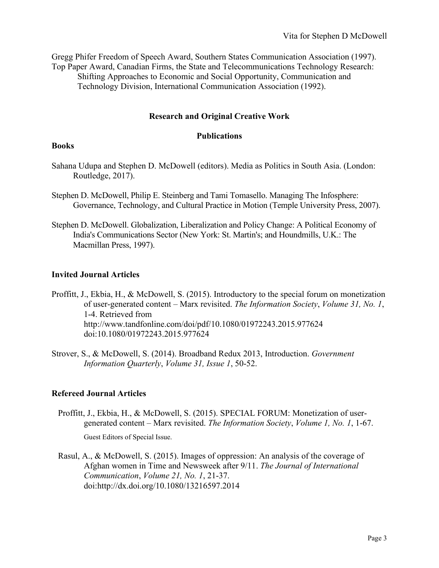Gregg Phifer Freedom of Speech Award, Southern States Communication Association (1997). Top Paper Award, Canadian Firms, the State and Telecommunications Technology Research: Shifting Approaches to Economic and Social Opportunity, Communication and Technology Division, International Communication Association (1992).

## **Research and Original Creative Work**

#### **Publications**

#### **Books**

- Sahana Udupa and Stephen D. McDowell (editors). Media as Politics in South Asia. (London: Routledge, 2017).
- Stephen D. McDowell, Philip E. Steinberg and Tami Tomasello. Managing The Infosphere: Governance, Technology, and Cultural Practice in Motion (Temple University Press, 2007).
- Stephen D. McDowell. Globalization, Liberalization and Policy Change: A Political Economy of India's Communications Sector (New York: St. Martin's; and Houndmills, U.K.: The Macmillan Press, 1997).

## **Invited Journal Articles**

- Proffitt, J., Ekbia, H., & McDowell, S. (2015). Introductory to the special forum on monetization of user-generated content – Marx revisited. *The Information Society*, *Volume 31, No. 1*, 1-4. Retrieved from <http://www.tandfonline.com/doi/pdf/10.1080/01972243.2015.977624> doi[:10.1080/01972243.2015.977624](http://dx.doi.org/10.1080/01972243.2015.977624)
- Strover, S., & McDowell, S. (2014). Broadband Redux 2013, Introduction. *Government Information Quarterly*, *Volume 31, Issue 1*, 50-52.

#### **Refereed Journal Articles**

Proffitt, J., Ekbia, H., & McDowell, S. (2015). SPECIAL FORUM: Monetization of usergenerated content – Marx revisited. *The Information Society*, *Volume 1, No. 1*, 1-67.

Guest Editors of Special Issue.

Rasul, A., & McDowell, S. (2015). Images of oppression: An analysis of the coverage of Afghan women in Time and Newsweek after 9/11. *The Journal of International Communication*, *Volume 21, No. 1*, 21-37. doi:http://dx.doi.org/10.1080/13216597.2014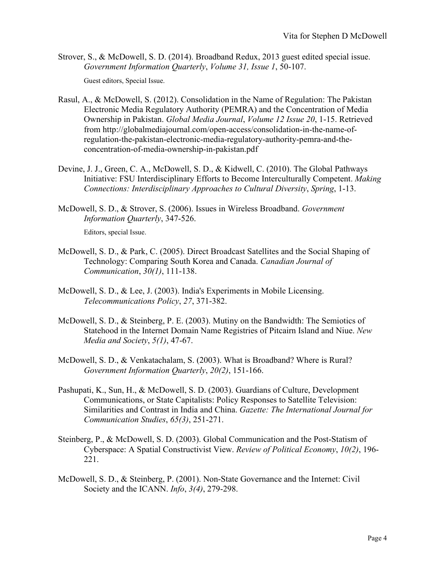Strover, S., & McDowell, S. D. (2014). Broadband Redux, 2013 guest edited special issue. *Government Information Quarterly*, *Volume 31, Issue 1*, 50-107.

Guest editors, Special Issue.

- Rasul, A., & McDowell, S. (2012). Consolidation in the Name of Regulation: The Pakistan Electronic Media Regulatory Authority (PEMRA) and the Concentration of Media Ownership in Pakistan. *Global Media Journal*, *Volume 12 Issue 20*, 1-15. Retrieved from [http://globalmediajournal.com/open-access/consolidation-in-the-name-of](http://globalmediajournal.com/open-access/consolidation-in-the-name-of-regulation-the-pakistan-electronic-media-regulatory-authority-pemra-and-the-concentration-of-media-ownership-in-pakistan.pdf)[regulation-the-pakistan-electronic-media-regulatory-authority-pemra-and-the](http://globalmediajournal.com/open-access/consolidation-in-the-name-of-regulation-the-pakistan-electronic-media-regulatory-authority-pemra-and-the-concentration-of-media-ownership-in-pakistan.pdf)[concentration-of-media-ownership-in-pakistan.pdf](http://globalmediajournal.com/open-access/consolidation-in-the-name-of-regulation-the-pakistan-electronic-media-regulatory-authority-pemra-and-the-concentration-of-media-ownership-in-pakistan.pdf)
- Devine, J. J., Green, C. A., McDowell, S. D., & Kidwell, C. (2010). The Global Pathways Initiative: FSU Interdisciplinary Efforts to Become Interculturally Competent. *Making Connections: Interdisciplinary Approaches to Cultural Diversity*, *Spring*, 1-13.
- McDowell, S. D., & Strover, S. (2006). Issues in Wireless Broadband. *Government Information Quarterly*, 347-526.

Editors, special Issue.

- McDowell, S. D., & Park, C. (2005). Direct Broadcast Satellites and the Social Shaping of Technology: Comparing South Korea and Canada. *Canadian Journal of Communication*, *30(1)*, 111-138.
- McDowell, S. D., & Lee, J. (2003). India's Experiments in Mobile Licensing. *Telecommunications Policy*, *27*, 371-382.
- McDowell, S. D., & Steinberg, P. E. (2003). Mutiny on the Bandwidth: The Semiotics of Statehood in the Internet Domain Name Registries of Pitcairn Island and Niue. *New Media and Society*, *5(1)*, 47-67.
- McDowell, S. D., & Venkatachalam, S. (2003). What is Broadband? Where is Rural? *Government Information Quarterly*, *20(2)*, 151-166.
- Pashupati, K., Sun, H., & McDowell, S. D. (2003). Guardians of Culture, Development Communications, or State Capitalists: Policy Responses to Satellite Television: Similarities and Contrast in India and China. *Gazette: The International Journal for Communication Studies*, *65(3)*, 251-271.
- Steinberg, P., & McDowell, S. D. (2003). Global Communication and the Post-Statism of Cyberspace: A Spatial Constructivist View. *Review of Political Economy*, *10(2)*, 196- 221.
- McDowell, S. D., & Steinberg, P. (2001). Non-State Governance and the Internet: Civil Society and the ICANN. *Info*, *3(4)*, 279-298.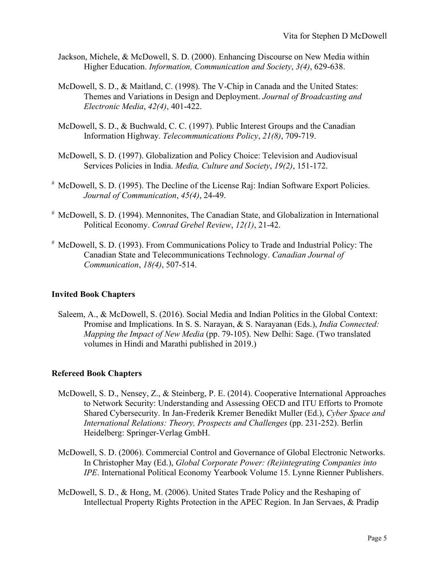- Jackson, Michele, & McDowell, S. D. (2000). Enhancing Discourse on New Media within Higher Education. *Information, Communication and Society*, *3(4)*, 629-638.
- McDowell, S. D., & Maitland, C. (1998). The V-Chip in Canada and the United States: Themes and Variations in Design and Deployment. *Journal of Broadcasting and Electronic Media*, *42(4)*, 401-422.
- McDowell, S. D., & Buchwald, C. C. (1997). Public Interest Groups and the Canadian Information Highway. *Telecommunications Policy*, *21(8)*, 709-719.
- McDowell, S. D. (1997). Globalization and Policy Choice: Television and Audiovisual Services Policies in India. *Media, Culture and Society*, *19(2)*, 151-172.
- # McDowell, S. D. (1995). The Decline of the License Raj: Indian Software Export Policies. *Journal of Communication*, *45(4)*, 24-49.
- # McDowell, S. D. (1994). Mennonites, The Canadian State, and Globalization in International Political Economy. *Conrad Grebel Review*, *12(1)*, 21-42.
- # McDowell, S. D. (1993). From Communications Policy to Trade and Industrial Policy: The Canadian State and Telecommunications Technology. *Canadian Journal of Communication*, *18(4)*, 507-514.

## **Invited Book Chapters**

Saleem, A., & McDowell, S. (2016). Social Media and Indian Politics in the Global Context: Promise and Implications. In S. S. Narayan, & S. Narayanan (Eds.), *India Connected: Mapping the Impact of New Media* (pp. 79-105). New Delhi: Sage. (Two translated volumes in Hindi and Marathi published in 2019.)

#### **Refereed Book Chapters**

- McDowell, S. D., Nensey, Z., & Steinberg, P. E. (2014). Cooperative International Approaches to Network Security: Understanding and Assessing OECD and ITU Efforts to Promote Shared Cybersecurity. In Jan-Frederik Kremer Benedikt Muller (Ed.), *Cyber Space and International Relations: Theory, Prospects and Challenges* (pp. 231-252). Berlin Heidelberg: Springer-Verlag GmbH.
- McDowell, S. D. (2006). Commercial Control and Governance of Global Electronic Networks. In Christopher May (Ed.), *Global Corporate Power: (Re)integrating Companies into IPE*. International Political Economy Yearbook Volume 15. Lynne Rienner Publishers.
- McDowell, S. D., & Hong, M. (2006). United States Trade Policy and the Reshaping of Intellectual Property Rights Protection in the APEC Region. In Jan Servaes, & Pradip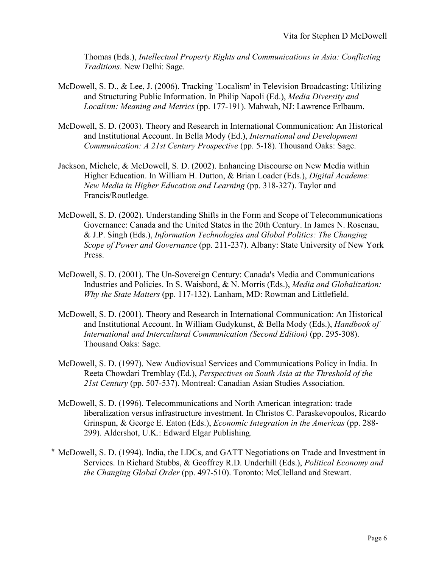Thomas (Eds.), *Intellectual Property Rights and Communications in Asia: Conflicting Traditions*. New Delhi: Sage.

- McDowell, S. D., & Lee, J. (2006). Tracking `Localism' in Television Broadcasting: Utilizing and Structuring Public Information. In Philip Napoli (Ed.), *Media Diversity and Localism: Meaning and Metrics* (pp. 177-191). Mahwah, NJ: Lawrence Erlbaum.
- McDowell, S. D. (2003). Theory and Research in International Communication: An Historical and Institutional Account. In Bella Mody (Ed.), *International and Development Communication: A 21st Century Prospective* (pp. 5-18). Thousand Oaks: Sage.
- Jackson, Michele, & McDowell, S. D. (2002). Enhancing Discourse on New Media within Higher Education. In William H. Dutton, & Brian Loader (Eds.), *Digital Academe: New Media in Higher Education and Learning* (pp. 318-327). Taylor and Francis/Routledge.
- McDowell, S. D. (2002). Understanding Shifts in the Form and Scope of Telecommunications Governance: Canada and the United States in the 20th Century. In James N. Rosenau, & J.P. Singh (Eds.), *Information Technologies and Global Politics: The Changing Scope of Power and Governance* (pp. 211-237). Albany: State University of New York Press.
- McDowell, S. D. (2001). The Un-Sovereign Century: Canada's Media and Communications Industries and Policies. In S. Waisbord, & N. Morris (Eds.), *Media and Globalization: Why the State Matters* (pp. 117-132). Lanham, MD: Rowman and Littlefield.
- McDowell, S. D. (2001). Theory and Research in International Communication: An Historical and Institutional Account. In William Gudykunst, & Bella Mody (Eds.), *Handbook of International and Intercultural Communication (Second Edition)* (pp. 295-308). Thousand Oaks: Sage.
- McDowell, S. D. (1997). New Audiovisual Services and Communications Policy in India. In Reeta Chowdari Tremblay (Ed.), *Perspectives on South Asia at the Threshold of the 21st Century* (pp. 507-537). Montreal: Canadian Asian Studies Association.
- McDowell, S. D. (1996). Telecommunications and North American integration: trade liberalization versus infrastructure investment. In Christos C. Paraskevopoulos, Ricardo Grinspun, & George E. Eaton (Eds.), *Economic Integration in the Americas* (pp. 288- 299). Aldershot, U.K.: Edward Elgar Publishing.
- # McDowell, S. D. (1994). India, the LDCs, and GATT Negotiations on Trade and Investment in Services. In Richard Stubbs, & Geoffrey R.D. Underhill (Eds.), *Political Economy and the Changing Global Order* (pp. 497-510). Toronto: McClelland and Stewart.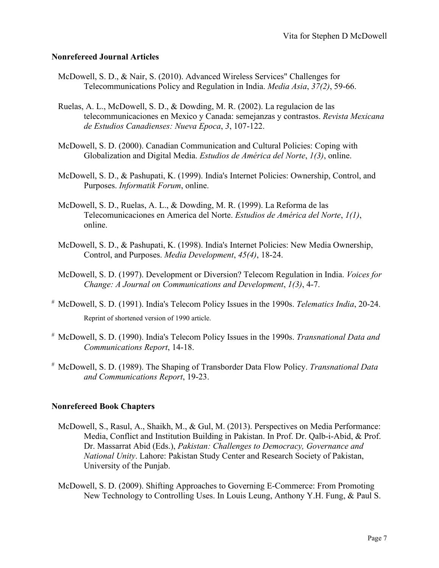## **Nonrefereed Journal Articles**

- McDowell, S. D., & Nair, S. (2010). Advanced Wireless Services" Challenges for Telecommunications Policy and Regulation in India. *Media Asia*, *37(2)*, 59-66.
- Ruelas, A. L., McDowell, S. D., & Dowding, M. R. (2002). La regulacion de las telecommunicaciones en Mexico y Canada: semejanzas y contrastos. *Revista Mexicana de Estudios Canadienses: Nueva Epoca*, *3*, 107-122.
- McDowell, S. D. (2000). Canadian Communication and Cultural Policies: Coping with Globalization and Digital Media. *Estudios de América del Norte*, *1(3)*, online.
- McDowell, S. D., & Pashupati, K. (1999). India's Internet Policies: Ownership, Control, and Purposes. *Informatik Forum*, online.
- McDowell, S. D., Ruelas, A. L., & Dowding, M. R. (1999). La Reforma de las Telecomunicaciones en America del Norte. *Estudios de América del Norte*, *1(1)*, online.
- McDowell, S. D., & Pashupati, K. (1998). India's Internet Policies: New Media Ownership, Control, and Purposes. *Media Development*, *45(4)*, 18-24.
- McDowell, S. D. (1997). Development or Diversion? Telecom Regulation in India. *Voices for Change: A Journal on Communications and Development*, *1(3)*, 4-7.
- # McDowell, S. D. (1991). India's Telecom Policy Issues in the 1990s. *Telematics India*, 20-24. Reprint of shortened version of 1990 article.
- # McDowell, S. D. (1990). India's Telecom Policy Issues in the 1990s. *Transnational Data and Communications Report*, 14-18.
- # McDowell, S. D. (1989). The Shaping of Transborder Data Flow Policy. *Transnational Data and Communications Report*, 19-23.

## **Nonrefereed Book Chapters**

- McDowell, S., Rasul, A., Shaikh, M., & Gul, M. (2013). Perspectives on Media Performance: Media, Conflict and Institution Building in Pakistan. In Prof. Dr. Qalb-i-Abid, & Prof. Dr. Massarrat Abid (Eds.), *Pakistan: Challenges to Democracy, Governance and National Unity*. Lahore: Pakistan Study Center and Research Society of Pakistan, University of the Punjab.
- McDowell, S. D. (2009). Shifting Approaches to Governing E-Commerce: From Promoting New Technology to Controlling Uses. In Louis Leung, Anthony Y.H. Fung, & Paul S.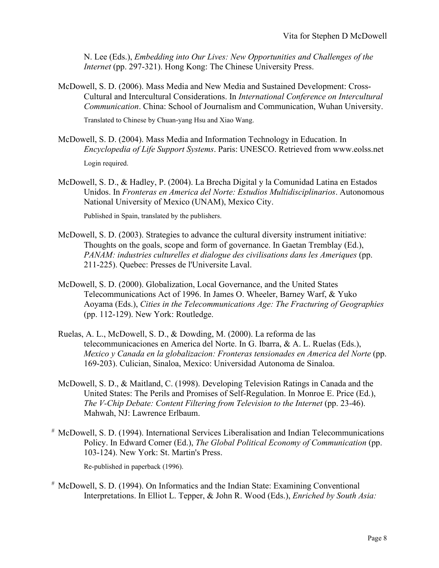N. Lee (Eds.), *Embedding into Our Lives: New Opportunities and Challenges of the Internet* (pp. 297-321). Hong Kong: The Chinese University Press.

McDowell, S. D. (2006). Mass Media and New Media and Sustained Development: Cross-Cultural and Intercultural Considerations. In *International Conference on Intercultural Communication*. China: School of Journalism and Communication, Wuhan University.

Translated to Chinese by Chuan-yang Hsu and Xiao Wang.

- McDowell, S. D. (2004). Mass Media and Information Technology in Education. In *Encyclopedia of Life Support Systems*. Paris: UNESCO. Retrieved from www.eolss.net Login required.
- McDowell, S. D., & Hadley, P. (2004). La Brecha Digital y la Comunidad Latina en Estados Unidos. In *Fronteras en America del Norte: Estudios Multidisciplinarios*. Autonomous National University of Mexico (UNAM), Mexico City.

Published in Spain, translated by the publishers.

- McDowell, S. D. (2003). Strategies to advance the cultural diversity instrument initiative: Thoughts on the goals, scope and form of governance. In Gaetan Tremblay (Ed.), *PANAM: industries culturelles et dialogue des civilisations dans les Ameriques* (pp. 211-225). Quebec: Presses de l'Universite Laval.
- McDowell, S. D. (2000). Globalization, Local Governance, and the United States Telecommunications Act of 1996. In James O. Wheeler, Barney Warf, & Yuko Aoyama (Eds.), *Cities in the Telecommunications Age: The Fracturing of Geographies* (pp. 112-129). New York: Routledge.
- Ruelas, A. L., McDowell, S. D., & Dowding, M. (2000). La reforma de las telecommunicaciones en America del Norte. In G. Ibarra, & A. L. Ruelas (Eds.), *Mexico y Canada en la globalizacion: Fronteras tensionades en America del Norte* (pp. 169-203). Culician, Sinaloa, Mexico: Universidad Autonoma de Sinaloa.
- McDowell, S. D., & Maitland, C. (1998). Developing Television Ratings in Canada and the United States: The Perils and Promises of Self-Regulation. In Monroe E. Price (Ed.), *The V-Chip Debate: Content Filtering from Television to the Internet* (pp. 23-46). Mahwah, NJ: Lawrence Erlbaum.
- # McDowell, S. D. (1994). International Services Liberalisation and Indian Telecommunications Policy. In Edward Comer (Ed.), *The Global Political Economy of Communication* (pp. 103-124). New York: St. Martin's Press.

Re-published in paperback (1996).

# McDowell, S. D. (1994). On Informatics and the Indian State: Examining Conventional Interpretations. In Elliot L. Tepper, & John R. Wood (Eds.), *Enriched by South Asia:*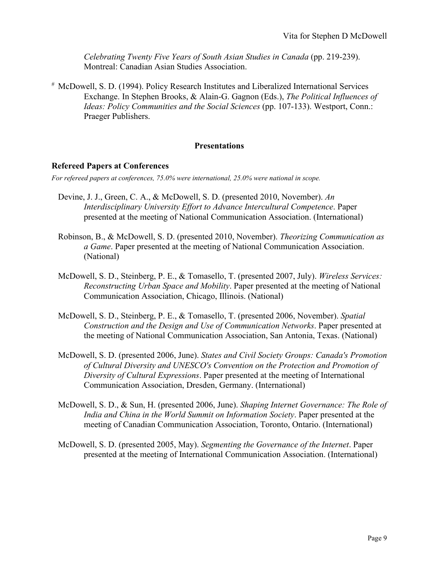*Celebrating Twenty Five Years of South Asian Studies in Canada* (pp. 219-239). Montreal: Canadian Asian Studies Association.

# McDowell, S. D. (1994). Policy Research Institutes and Liberalized International Services Exchange. In Stephen Brooks, & Alain-G. Gagnon (Eds.), *The Political Influences of Ideas: Policy Communities and the Social Sciences* (pp. 107-133). Westport, Conn.: Praeger Publishers.

## **Presentations**

#### **Refereed Papers at Conferences**

*For refereed papers at conferences, 75.0% were international, 25.0% were national in scope.*

- Devine, J. J., Green, C. A., & McDowell, S. D. (presented 2010, November). *An Interdisciplinary University Effort to Advance Intercultural Competence*. Paper presented at the meeting of National Communication Association. (International)
- Robinson, B., & McDowell, S. D. (presented 2010, November). *Theorizing Communication as a Game*. Paper presented at the meeting of National Communication Association. (National)
- McDowell, S. D., Steinberg, P. E., & Tomasello, T. (presented 2007, July). *Wireless Services: Reconstructing Urban Space and Mobility*. Paper presented at the meeting of National Communication Association, Chicago, Illinois. (National)
- McDowell, S. D., Steinberg, P. E., & Tomasello, T. (presented 2006, November). *Spatial Construction and the Design and Use of Communication Networks*. Paper presented at the meeting of National Communication Association, San Antonia, Texas. (National)
- McDowell, S. D. (presented 2006, June). *States and Civil Society Groups: Canada's Promotion of Cultural Diversity and UNESCO's Convention on the Protection and Promotion of Diversity of Cultural Expressions*. Paper presented at the meeting of International Communication Association, Dresden, Germany. (International)
- McDowell, S. D., & Sun, H. (presented 2006, June). *Shaping Internet Governance: The Role of India and China in the World Summit on Information Society*. Paper presented at the meeting of Canadian Communication Association, Toronto, Ontario. (International)
- McDowell, S. D. (presented 2005, May). *Segmenting the Governance of the Internet*. Paper presented at the meeting of International Communication Association. (International)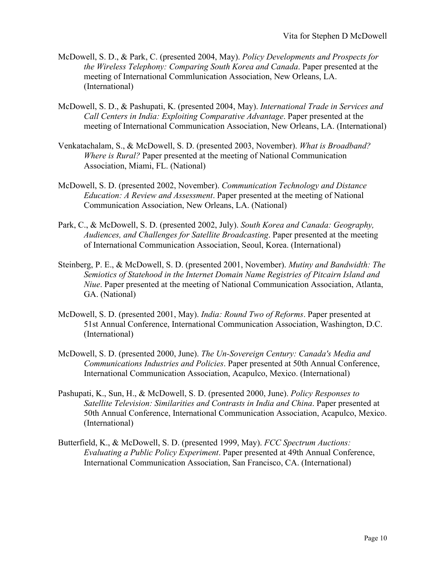- McDowell, S. D., & Park, C. (presented 2004, May). *Policy Developments and Prospects for the Wireless Telephony: Comparing South Korea and Canada*. Paper presented at the meeting of International Commlunication Association, New Orleans, LA. (International)
- McDowell, S. D., & Pashupati, K. (presented 2004, May). *International Trade in Services and Call Centers in India: Exploiting Comparative Advantage*. Paper presented at the meeting of International Communication Association, New Orleans, LA. (International)
- Venkatachalam, S., & McDowell, S. D. (presented 2003, November). *What is Broadband? Where is Rural?* Paper presented at the meeting of National Communication Association, Miami, FL. (National)
- McDowell, S. D. (presented 2002, November). *Communication Technology and Distance Education: A Review and Assessment*. Paper presented at the meeting of National Communication Association, New Orleans, LA. (National)
- Park, C., & McDowell, S. D. (presented 2002, July). *South Korea and Canada: Geography, Audiences, and Challenges for Satellite Broadcasting*. Paper presented at the meeting of International Communication Association, Seoul, Korea. (International)
- Steinberg, P. E., & McDowell, S. D. (presented 2001, November). *Mutiny and Bandwidth: The Semiotics of Statehood in the Internet Domain Name Registries of Pitcairn Island and Niue*. Paper presented at the meeting of National Communication Association, Atlanta, GA. (National)
- McDowell, S. D. (presented 2001, May). *India: Round Two of Reforms*. Paper presented at 51st Annual Conference, International Communication Association, Washington, D.C. (International)
- McDowell, S. D. (presented 2000, June). *The Un-Sovereign Century: Canada's Media and Communications Industries and Policies*. Paper presented at 50th Annual Conference, International Communication Association, Acapulco, Mexico. (International)
- Pashupati, K., Sun, H., & McDowell, S. D. (presented 2000, June). *Policy Responses to Satellite Television: Similarities and Contrasts in India and China*. Paper presented at 50th Annual Conference, International Communication Association, Acapulco, Mexico. (International)
- Butterfield, K., & McDowell, S. D. (presented 1999, May). *FCC Spectrum Auctions: Evaluating a Public Policy Experiment*. Paper presented at 49th Annual Conference, International Communication Association, San Francisco, CA. (International)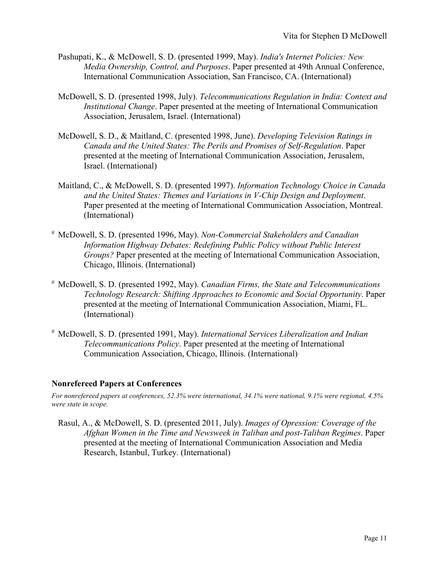- Pashupati, K., & McDowell, S. D. (presented 1999, May). *India's Internet Policies: New Media Ownership, Control, and Purposes*. Paper presented at 49th Annual Conference, International Communication Association, San Francisco, CA. (International)
- McDowell, S. D. (presented 1998, July). *Telecommunications Regulation in India: Context and Institutional Change*. Paper presented at the meeting of International Communication Association, Jerusalem, Israel. (International)
- McDowell, S. D., & Maitland, C. (presented 1998, June). *Developing Television Ratings in Canada and the United States: The Perils and Promises of Self-Regulation*. Paper presented at the meeting of International Communication Association, Jerusalem, Israel. (International)
- Maitland, C., & McDowell, S. D. (presented 1997). *Information Technology Choice in Canada and the United States: Themes and Variations in V-Chip Design and Deployment*. Paper presented at the meeting of International Communication Association, Montreal. (International)
- # McDowell, S. D. (presented 1996, May). *Non-Commercial Stakeholders and Canadian Information Highway Debates: Redefining Public Policy without Public Interest Groups?* Paper presented at the meeting of International Communication Association, Chicago, Illinois. (International)
- # McDowell, S. D. (presented 1992, May). *Canadian Firms, the State and Telecommunications Technology Research: Shifting Approaches to Economic and Social Opportunity*. Paper presented at the meeting of International Communication Association, Miami, FL. (International)
- # McDowell, S. D. (presented 1991, May). *International Services Liberalization and Indian Telecommunications Policy*. Paper presented at the meeting of International Communication Association, Chicago, Illinois. (International)

## **Nonrefereed Papers at Conferences**

*For nonrefereed papers at conferences, 52.3% were international, 34.1% were national, 9.1% were regional, 4.5% were state in scope.*

Rasul, A., & McDowell, S. D. (presented 2011, July). *Images of Opression: Coverage of the Afghan Women in the Time and Newsweek in Taliban and post-Taliban Regimes*. Paper presented at the meeting of International Communication Association and Media Research, Istanbul, Turkey. (International)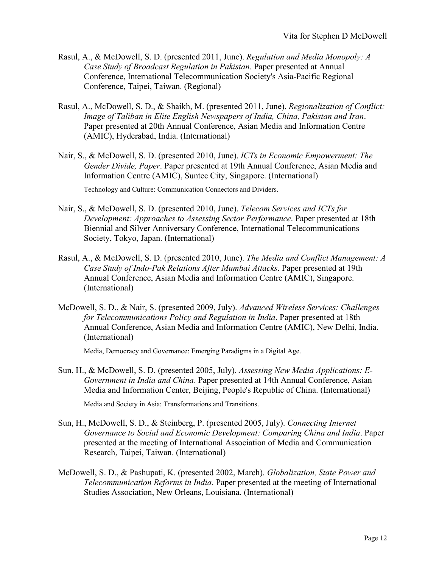- Rasul, A., & McDowell, S. D. (presented 2011, June). *Regulation and Media Monopoly: A Case Study of Broadcast Regulation in Pakistan*. Paper presented at Annual Conference, International Telecommunication Society's Asia-Pacific Regional Conference, Taipei, Taiwan. (Regional)
- Rasul, A., McDowell, S. D., & Shaikh, M. (presented 2011, June). *Regionalization of Conflict: Image of Taliban in Elite English Newspapers of India, China, Pakistan and Iran*. Paper presented at 20th Annual Conference, Asian Media and Information Centre (AMIC), Hyderabad, India. (International)
- Nair, S., & McDowell, S. D. (presented 2010, June). *ICTs in Economic Empowerment: The Gender Divide, Paper*. Paper presented at 19th Annual Conference, Asian Media and Information Centre (AMIC), Suntec City, Singapore. (International)

Technology and Culture: Communication Connectors and Dividers.

- Nair, S., & McDowell, S. D. (presented 2010, June). *Telecom Services and ICTs for Development: Approaches to Assessing Sector Performance*. Paper presented at 18th Biennial and Silver Anniversary Conference, International Telecommunications Society, Tokyo, Japan. (International)
- Rasul, A., & McDowell, S. D. (presented 2010, June). *The Media and Conflict Management: A Case Study of Indo-Pak Relations After Mumbai Attacks*. Paper presented at 19th Annual Conference, Asian Media and Information Centre (AMIC), Singapore. (International)
- McDowell, S. D., & Nair, S. (presented 2009, July). *Advanced Wireless Services: Challenges for Telecommunications Policy and Regulation in India*. Paper presented at 18th Annual Conference, Asian Media and Information Centre (AMIC), New Delhi, India. (International)

Media, Democracy and Governance: Emerging Paradigms in a Digital Age.

Sun, H., & McDowell, S. D. (presented 2005, July). *Assessing New Media Applications: E-Government in India and China*. Paper presented at 14th Annual Conference, Asian Media and Information Center, Beijing, People's Republic of China. (International)

Media and Society in Asia: Transformations and Transitions.

- Sun, H., McDowell, S. D., & Steinberg, P. (presented 2005, July). *Connecting Internet Governance to Social and Economic Development: Comparing China and India*. Paper presented at the meeting of International Association of Media and Communication Research, Taipei, Taiwan. (International)
- McDowell, S. D., & Pashupati, K. (presented 2002, March). *Globalization, State Power and Telecommunication Reforms in India*. Paper presented at the meeting of International Studies Association, New Orleans, Louisiana. (International)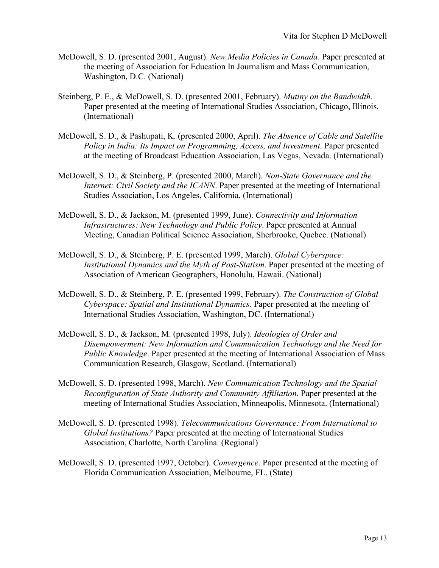- McDowell, S. D. (presented 2001, August). *New Media Policies in Canada*. Paper presented at the meeting of Association for Education In Journalism and Mass Communication, Washington, D.C. (National)
- Steinberg, P. E., & McDowell, S. D. (presented 2001, February). *Mutiny on the Bandwidth*. Paper presented at the meeting of International Studies Association, Chicago, Illinois. (International)
- McDowell, S. D., & Pashupati, K. (presented 2000, April). *The Absence of Cable and Satellite Policy in India: Its Impact on Programming, Access, and Investment*. Paper presented at the meeting of Broadcast Education Association, Las Vegas, Nevada. (International)
- McDowell, S. D., & Steinberg, P. (presented 2000, March). *Non-State Governance and the Internet: Civil Society and the ICANN*. Paper presented at the meeting of International Studies Association, Los Angeles, California. (International)
- McDowell, S. D., & Jackson, M. (presented 1999, June). *Connectivity and Information Infrastructures: New Technology and Public Policy*. Paper presented at Annual Meeting, Canadian Political Science Association, Sherbrooke, Quebec. (National)
- McDowell, S. D., & Steinberg, P. E. (presented 1999, March). *Global Cyberspace: Institutional Dynamics and the Myth of Post-Statism*. Paper presented at the meeting of Association of American Geographers, Honolulu, Hawaii. (National)
- McDowell, S. D., & Steinberg, P. E. (presented 1999, February). *The Construction of Global Cyberspace: Spatial and Institutional Dynamics*. Paper presented at the meeting of International Studies Association, Washington, DC. (International)
- McDowell, S. D., & Jackson, M. (presented 1998, July). *Ideologies of Order and Disempowerment: New Information and Communication Technology and the Need for Public Knowledge*. Paper presented at the meeting of International Association of Mass Communication Research, Glasgow, Scotland. (International)
- McDowell, S. D. (presented 1998, March). *New Communication Technology and the Spatial Reconfiguration of State Authority and Community Affiliation*. Paper presented at the meeting of International Studies Association, Minneapolis, Minnesota. (International)
- McDowell, S. D. (presented 1998). *Telecommunications Governance: From International to Global Institutions?* Paper presented at the meeting of International Studies Association, Charlotte, North Carolina. (Regional)
- McDowell, S. D. (presented 1997, October). *Convergence*. Paper presented at the meeting of Florida Communication Association, Melbourne, FL. (State)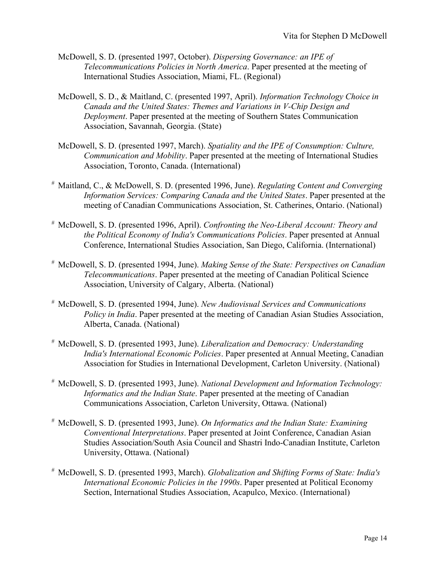- McDowell, S. D. (presented 1997, October). *Dispersing Governance: an IPE of Telecommunications Policies in North America*. Paper presented at the meeting of International Studies Association, Miami, FL. (Regional)
- McDowell, S. D., & Maitland, C. (presented 1997, April). *Information Technology Choice in Canada and the United States: Themes and Variations in V-Chip Design and Deployment*. Paper presented at the meeting of Southern States Communication Association, Savannah, Georgia. (State)
- McDowell, S. D. (presented 1997, March). *Spatiality and the IPE of Consumption: Culture, Communication and Mobility*. Paper presented at the meeting of International Studies Association, Toronto, Canada. (International)
- # Maitland, C., & McDowell, S. D. (presented 1996, June). *Regulating Content and Converging Information Services: Comparing Canada and the United States*. Paper presented at the meeting of Canadian Communications Association, St. Catherines, Ontario. (National)
- # McDowell, S. D. (presented 1996, April). *Confronting the Neo-Liberal Account: Theory and the Political Economy of India's Communications Policies*. Paper presented at Annual Conference, International Studies Association, San Diego, California. (International)
- # McDowell, S. D. (presented 1994, June). *Making Sense of the State: Perspectives on Canadian Telecommunications*. Paper presented at the meeting of Canadian Political Science Association, University of Calgary, Alberta. (National)
- # McDowell, S. D. (presented 1994, June). *New Audiovisual Services and Communications Policy in India*. Paper presented at the meeting of Canadian Asian Studies Association, Alberta, Canada. (National)
- # McDowell, S. D. (presented 1993, June). *Liberalization and Democracy: Understanding India's International Economic Policies*. Paper presented at Annual Meeting, Canadian Association for Studies in International Development, Carleton University. (National)
- # McDowell, S. D. (presented 1993, June). *National Development and Information Technology: Informatics and the Indian State*. Paper presented at the meeting of Canadian Communications Association, Carleton University, Ottawa. (National)
- # McDowell, S. D. (presented 1993, June). *On Informatics and the Indian State: Examining Conventional Interpretations*. Paper presented at Joint Conference, Canadian Asian Studies Association/South Asia Council and Shastri Indo-Canadian Institute, Carleton University, Ottawa. (National)
- # McDowell, S. D. (presented 1993, March). *Globalization and Shifting Forms of State: India's International Economic Policies in the 1990s*. Paper presented at Political Economy Section, International Studies Association, Acapulco, Mexico. (International)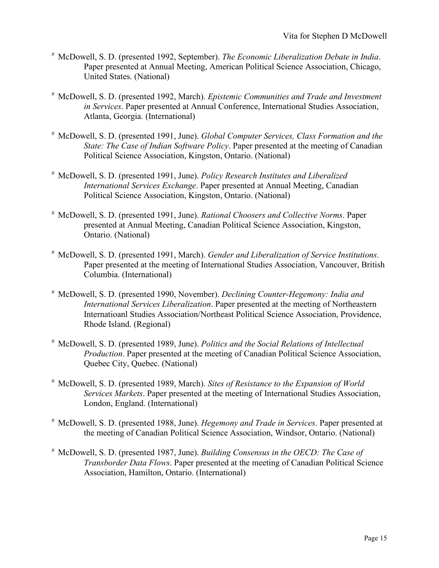- # McDowell, S. D. (presented 1992, September). *The Economic Liberalization Debate in India*. Paper presented at Annual Meeting, American Political Science Association, Chicago, United States. (National)
- # McDowell, S. D. (presented 1992, March). *Epistemic Communities and Trade and Investment in Services*. Paper presented at Annual Conference, International Studies Association, Atlanta, Georgia. (International)
- # McDowell, S. D. (presented 1991, June). *Global Computer Services, Class Formation and the State: The Case of Indian Software Policy*. Paper presented at the meeting of Canadian Political Science Association, Kingston, Ontario. (National)
- # McDowell, S. D. (presented 1991, June). *Policy Research Institutes and Liberalized International Services Exchange*. Paper presented at Annual Meeting, Canadian Political Science Association, Kingston, Ontario. (National)
- # McDowell, S. D. (presented 1991, June). *Rational Choosers and Collective Norms*. Paper presented at Annual Meeting, Canadian Political Science Association, Kingston, Ontario. (National)
- # McDowell, S. D. (presented 1991, March). *Gender and Liberalization of Service Institutions*. Paper presented at the meeting of International Studies Association, Vancouver, British Columbia. (International)
- # McDowell, S. D. (presented 1990, November). *Declining Counter-Hegemony: India and International Services Liberalization*. Paper presented at the meeting of Northeastern Internatioanl Studies Association/Northeast Political Science Association, Providence, Rhode Island. (Regional)
- # McDowell, S. D. (presented 1989, June). *Politics and the Social Relations of Intellectual Production*. Paper presented at the meeting of Canadian Political Science Association, Quebec City, Quebec. (National)
- # McDowell, S. D. (presented 1989, March). *Sites of Resistance to the Expansion of World Services Markets*. Paper presented at the meeting of International Studies Association, London, England. (International)
- # McDowell, S. D. (presented 1988, June). *Hegemony and Trade in Services*. Paper presented at the meeting of Canadian Political Science Association, Windsor, Ontario. (National)
- # McDowell, S. D. (presented 1987, June). *Building Consensus in the OECD: The Case of Transborder Data Flows*. Paper presented at the meeting of Canadian Political Science Association, Hamilton, Ontario. (International)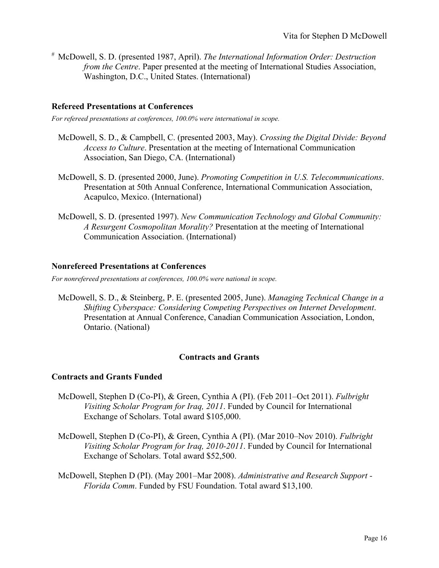# McDowell, S. D. (presented 1987, April). *The International Information Order: Destruction from the Centre*. Paper presented at the meeting of International Studies Association, Washington, D.C., United States. (International)

## **Refereed Presentations at Conferences**

*For refereed presentations at conferences, 100.0% were international in scope.*

- McDowell, S. D., & Campbell, C. (presented 2003, May). *Crossing the Digital Divide: Beyond Access to Culture*. Presentation at the meeting of International Communication Association, San Diego, CA. (International)
- McDowell, S. D. (presented 2000, June). *Promoting Competition in U.S. Telecommunications*. Presentation at 50th Annual Conference, International Communication Association, Acapulco, Mexico. (International)
- McDowell, S. D. (presented 1997). *New Communication Technology and Global Community: A Resurgent Cosmopolitan Morality?* Presentation at the meeting of International Communication Association. (International)

## **Nonrefereed Presentations at Conferences**

*For nonrefereed presentations at conferences, 100.0% were national in scope.*

McDowell, S. D., & Steinberg, P. E. (presented 2005, June). *Managing Technical Change in a Shifting Cyberspace: Considering Competing Perspectives on Internet Development*. Presentation at Annual Conference, Canadian Communication Association, London, Ontario. (National)

#### **Contracts and Grants**

#### **Contracts and Grants Funded**

- McDowell, Stephen D (Co-PI), & Green, Cynthia A (PI). (Feb 2011–Oct 2011). *Fulbright Visiting Scholar Program for Iraq, 2011*. Funded by Council for International Exchange of Scholars. Total award \$105,000.
- McDowell, Stephen D (Co-PI), & Green, Cynthia A (PI). (Mar 2010–Nov 2010). *Fulbright Visiting Scholar Program for Iraq, 2010-2011*. Funded by Council for International Exchange of Scholars. Total award \$52,500.
- McDowell, Stephen D (PI). (May 2001–Mar 2008). *Administrative and Research Support - Florida Comm*. Funded by FSU Foundation. Total award \$13,100.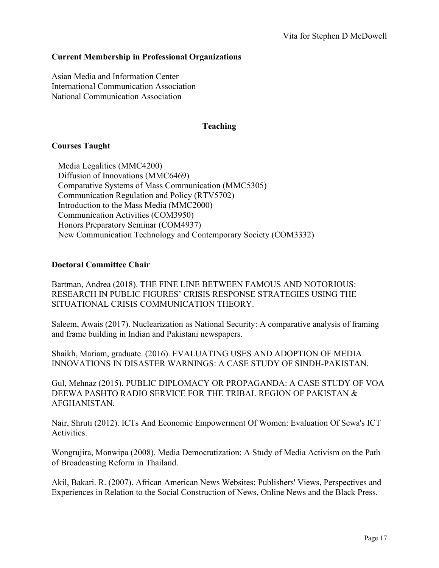## **Current Membership in Professional Organizations**

Asian Media and Information Center International Communication Association National Communication Association

## **Teaching**

## **Courses Taught**

Media Legalities (MMC4200) Diffusion of Innovations (MMC6469) Comparative Systems of Mass Communication (MMC5305) Communication Regulation and Policy (RTV5702) Introduction to the Mass Media (MMC2000) Communication Activities (COM3950) Honors Preparatory Seminar (COM4937) New Communication Technology and Contemporary Society (COM3332)

### **Doctoral Committee Chair**

Bartman, Andrea (2018). THE FINE LINE BETWEEN FAMOUS AND NOTORIOUS: RESEARCH IN PUBLIC FIGURES' CRISIS RESPONSE STRATEGIES USING THE SITUATIONAL CRISIS COMMUNICATION THEORY.

Saleem, Awais (2017). Nuclearization as National Security: A comparative analysis of framing and frame building in Indian and Pakistani newspapers.

Shaikh, Mariam, graduate. (2016). EVALUATING USES AND ADOPTION OF MEDIA INNOVATIONS IN DISASTER WARNINGS: A CASE STUDY OF SINDH-PAKISTAN.

Gul, Mehnaz (2015). PUBLIC DIPLOMACY OR PROPAGANDA: A CASE STUDY OF VOA DEEWA PASHTO RADIO SERVICE FOR THE TRIBAL REGION OF PAKISTAN & AFGHANISTAN.

Nair, Shruti (2012). ICTs And Economic Empowerment Of Women: Evaluation Of Sewa's ICT Activities.

Wongrujira, Monwipa (2008). Media Democratization: A Study of Media Activism on the Path of Broadcasting Reform in Thailand.

Akil, Bakari. R. (2007). African American News Websites: Publishers' Views, Perspectives and Experiences in Relation to the Social Construction of News, Online News and the Black Press.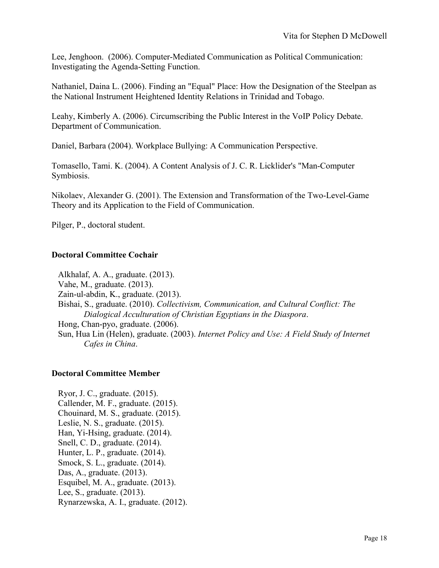Lee, Jenghoon. (2006). Computer-Mediated Communication as Political Communication: Investigating the Agenda-Setting Function.

Nathaniel, Daina L. (2006). Finding an "Equal" Place: How the Designation of the Steelpan as the National Instrument Heightened Identity Relations in Trinidad and Tobago.

Leahy, Kimberly A. (2006). Circumscribing the Public Interest in the VoIP Policy Debate. Department of Communication.

Daniel, Barbara (2004). Workplace Bullying: A Communication Perspective.

Tomasello, Tami. K. (2004). A Content Analysis of J. C. R. Licklider's "Man-Computer Symbiosis.

Nikolaev, Alexander G. (2001). The Extension and Transformation of the Two-Level-Game Theory and its Application to the Field of Communication.

Pilger, P., doctoral student.

# **Doctoral Committee Cochair**

Alkhalaf, A. A., graduate. (2013). Vahe, M., graduate. (2013). Zain-ul-abdin, K., graduate. (2013). Bishai, S., graduate. (2010). *Collectivism, Communication, and Cultural Conflict: The Dialogical Acculturation of Christian Egyptians in the Diaspora*. Hong, Chan-pyo, graduate. (2006). Sun, Hua Lin (Helen), graduate. (2003). *Internet Policy and Use: A Field Study of Internet Cafes in China*.

## **Doctoral Committee Member**

Ryor, J. C., graduate. (2015). Callender, M. F., graduate. (2015). Chouinard, M. S., graduate. (2015). Leslie, N. S., graduate. (2015). Han, Yi-Hsing, graduate. (2014). Snell, C. D., graduate. (2014). Hunter, L. P., graduate. (2014). Smock, S. L., graduate. (2014). Das, A., graduate. (2013). Esquibel, M. A., graduate. (2013). Lee, S., graduate. (2013). Rynarzewska, A. I., graduate. (2012).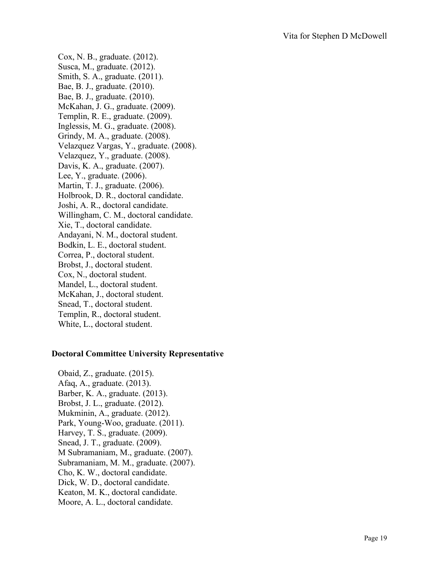Cox, N. B., graduate. (2012). Susca, M., graduate. (2012). Smith, S. A., graduate. (2011). Bae, B. J., graduate. (2010). Bae, B. J., graduate. (2010). McKahan, J. G., graduate. (2009). Templin, R. E., graduate. (2009). Inglessis, M. G., graduate. (2008). Grindy, M. A., graduate. (2008). Velazquez Vargas, Y., graduate. (2008). Velazquez, Y., graduate. (2008). Davis, K. A., graduate. (2007). Lee, Y., graduate. (2006). Martin, T. J., graduate. (2006). Holbrook, D. R., doctoral candidate. Joshi, A. R., doctoral candidate. Willingham, C. M., doctoral candidate. Xie, T., doctoral candidate. Andayani, N. M., doctoral student. Bodkin, L. E., doctoral student. Correa, P., doctoral student. Brobst, J., doctoral student. Cox, N., doctoral student. Mandel, L., doctoral student. McKahan, J., doctoral student. Snead, T., doctoral student. Templin, R., doctoral student. White, L., doctoral student.

#### **Doctoral Committee University Representative**

Obaid, Z., graduate. (2015). Afaq, A., graduate. (2013). Barber, K. A., graduate. (2013). Brobst, J. L., graduate. (2012). Mukminin, A., graduate. (2012). Park, Young-Woo, graduate. (2011). Harvey, T. S., graduate. (2009). Snead, J. T., graduate. (2009). M Subramaniam, M., graduate. (2007). Subramaniam, M. M., graduate. (2007). Cho, K. W., doctoral candidate. Dick, W. D., doctoral candidate. Keaton, M. K., doctoral candidate. Moore, A. L., doctoral candidate.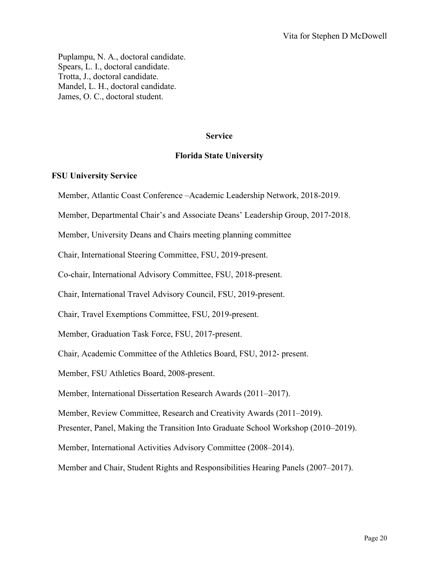Puplampu, N. A., doctoral candidate. Spears, L. I., doctoral candidate. Trotta, J., doctoral candidate. Mandel, L. H., doctoral candidate. James, O. C., doctoral student.

#### **Service**

#### **Florida State University**

#### **FSU University Service**

Member, Atlantic Coast Conference –Academic Leadership Network, 2018-2019.

Member, Departmental Chair's and Associate Deans' Leadership Group, 2017-2018.

Member, University Deans and Chairs meeting planning committee

Chair, International Steering Committee, FSU, 2019-present.

Co-chair, International Advisory Committee, FSU, 2018-present.

Chair, International Travel Advisory Council, FSU, 2019-present.

Chair, Travel Exemptions Committee, FSU, 2019-present.

Member, Graduation Task Force, FSU, 2017-present.

Chair, Academic Committee of the Athletics Board, FSU, 2012- present.

Member, FSU Athletics Board, 2008-present.

Member, International Dissertation Research Awards (2011–2017).

Member, Review Committee, Research and Creativity Awards (2011–2019).

Presenter, Panel, Making the Transition Into Graduate School Workshop (2010–2019).

Member, International Activities Advisory Committee (2008–2014).

Member and Chair, Student Rights and Responsibilities Hearing Panels (2007–2017).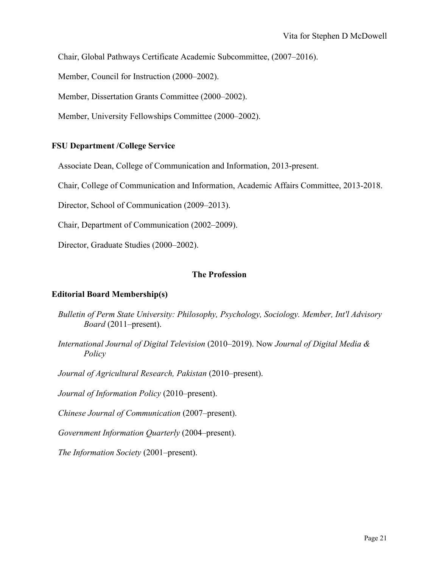Chair, Global Pathways Certificate Academic Subcommittee, (2007–2016).

Member, Council for Instruction (2000–2002).

Member, Dissertation Grants Committee (2000–2002).

Member, University Fellowships Committee (2000–2002).

#### **FSU Department /College Service**

Associate Dean, College of Communication and Information, 2013-present.

Chair, College of Communication and Information, Academic Affairs Committee, 2013-2018.

Director, School of Communication (2009–2013).

Chair, Department of Communication (2002–2009).

Director, Graduate Studies (2000–2002).

#### **The Profession**

#### **Editorial Board Membership(s)**

- *Bulletin of Perm State University: Philosophy, Psychology, Sociology. Member, Int'l Advisory Board* (2011–present).
- *International Journal of Digital Television* (2010–2019). Now *Journal of Digital Media & Policy*

*Journal of Agricultural Research, Pakistan* (2010–present).

*Journal of Information Policy* (2010–present).

*Chinese Journal of Communication* (2007–present).

*Government Information Quarterly* (2004–present).

*The Information Society* (2001–present).